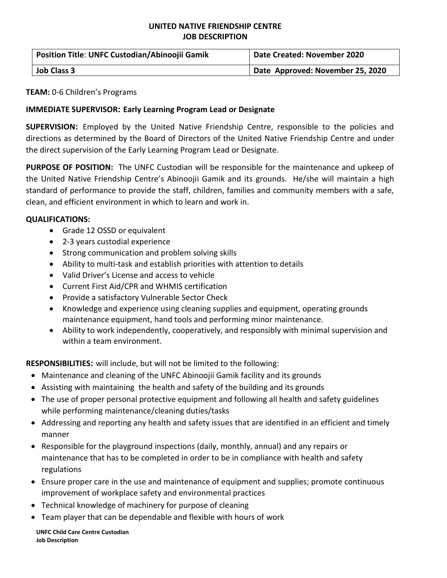## **UNITED NATIVE FRIENDSHIP CENTRE JOB DESCRIPTION**

| Position Title: UNFC Custodian/Abinoojii Gamik | Date Created: November 2020      |  |
|------------------------------------------------|----------------------------------|--|
| <b>Job Class 3</b>                             | Date Approved: November 25, 2020 |  |

## **TEAM:** 0-6 Children's Programs

## **IMMEDIATE SUPERVISOR: Early Learning Program Lead or Designate**

**SUPERVISION:** Employed by the United Native Friendship Centre, responsible to the policies and directions as determined by the Board of Directors of the United Native Friendship Centre and under the direct supervision of the Early Learning Program Lead or Designate.

**PURPOSE OF POSITION:** The UNFC Custodian will be responsible for the maintenance and upkeep of the United Native Friendship Centre's Abinoojii Gamik and its grounds. He/she will maintain a high standard of performance to provide the staff, children, families and community members with a safe, clean, and efficient environment in which to learn and work in.

## **QUALIFICATIONS:**

- Grade 12 OSSD or equivalent
- 2-3 years custodial experience
- Strong communication and problem solving skills
- Ability to multi-task and establish priorities with attention to details
- Valid Driver's License and access to vehicle
- Current First Aid/CPR and WHMIS certification
- Provide a satisfactory Vulnerable Sector Check
- Knowledge and experience using cleaning supplies and equipment, operating grounds maintenance equipment, hand tools and performing minor maintenance.
- Ability to work independently, cooperatively, and responsibly with minimal supervision and within a team environment.

**RESPONSIBILITIES:** will include, but will not be limited to the following:

- Maintenance and cleaning of the UNFC Abinoojii Gamik facility and its grounds
- Assisting with maintaining the health and safety of the building and its grounds
- The use of proper personal protective equipment and following all health and safety guidelines while performing maintenance/cleaning duties/tasks
- Addressing and reporting any health and safety issues that are identified in an efficient and timely manner
- Responsible for the playground inspections (daily, monthly, annual) and any repairs or maintenance that has to be completed in order to be in compliance with health and safety regulations
- Ensure proper care in the use and maintenance of equipment and supplies; promote continuous improvement of workplace safety and environmental practices
- Technical knowledge of machinery for purpose of cleaning
- Team player that can be dependable and flexible with hours of work

**UNFC Child Care Centre Custodian Job Description**